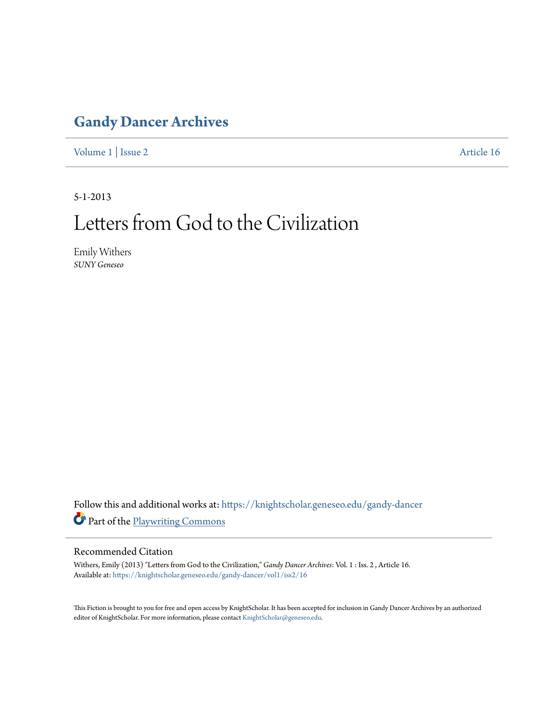### **[Gandy Dancer Archives](https://knightscholar.geneseo.edu/gandy-dancer?utm_source=knightscholar.geneseo.edu%2Fgandy-dancer%2Fvol1%2Fiss2%2F16&utm_medium=PDF&utm_campaign=PDFCoverPages)**

[Volume 1](https://knightscholar.geneseo.edu/gandy-dancer/vol1?utm_source=knightscholar.geneseo.edu%2Fgandy-dancer%2Fvol1%2Fiss2%2F16&utm_medium=PDF&utm_campaign=PDFCoverPages) | [Issue 2](https://knightscholar.geneseo.edu/gandy-dancer/vol1/iss2?utm_source=knightscholar.geneseo.edu%2Fgandy-dancer%2Fvol1%2Fiss2%2F16&utm_medium=PDF&utm_campaign=PDFCoverPages) [Article 16](https://knightscholar.geneseo.edu/gandy-dancer/vol1/iss2/16?utm_source=knightscholar.geneseo.edu%2Fgandy-dancer%2Fvol1%2Fiss2%2F16&utm_medium=PDF&utm_campaign=PDFCoverPages)

5-1-2013

## Letters from God to the Civilization

Emily Withers *SUNY Geneseo*

Follow this and additional works at: [https://knightscholar.geneseo.edu/gandy-dancer](https://knightscholar.geneseo.edu/gandy-dancer?utm_source=knightscholar.geneseo.edu%2Fgandy-dancer%2Fvol1%2Fiss2%2F16&utm_medium=PDF&utm_campaign=PDFCoverPages) Part of the [Playwriting Commons](http://network.bepress.com/hgg/discipline/557?utm_source=knightscholar.geneseo.edu%2Fgandy-dancer%2Fvol1%2Fiss2%2F16&utm_medium=PDF&utm_campaign=PDFCoverPages)

#### Recommended Citation

Withers, Emily (2013) "Letters from God to the Civilization," *Gandy Dancer Archives*: Vol. 1 : Iss. 2 , Article 16. Available at: [https://knightscholar.geneseo.edu/gandy-dancer/vol1/iss2/16](https://knightscholar.geneseo.edu/gandy-dancer/vol1/iss2/16?utm_source=knightscholar.geneseo.edu%2Fgandy-dancer%2Fvol1%2Fiss2%2F16&utm_medium=PDF&utm_campaign=PDFCoverPages)

This Fiction is brought to you for free and open access by KnightScholar. It has been accepted for inclusion in Gandy Dancer Archives by an authorized editor of KnightScholar. For more information, please contact [KnightScholar@geneseo.edu.](mailto:KnightScholar@geneseo.edu)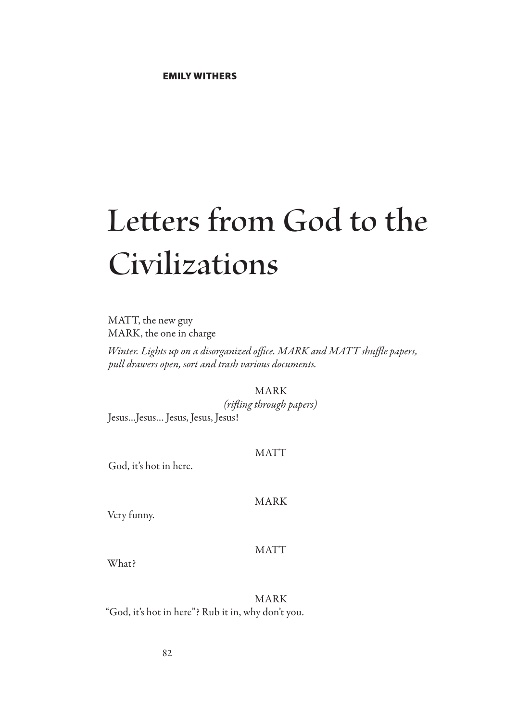# **Letters from God to the Civilizations**

MATT, the new guy MARK, the one in charge

*Winter. Lights up on a disorganized office. MARK and MATT shuffle papers, pull drawers open, sort and trash various documents.*

MARK

*(rifling through papers)* Jesus…Jesus… Jesus, Jesus, Jesus!

#### MATT

God, it's hot in here.

#### MARK

Very funny.

#### MATT

What?

MARK "God, it's hot in here"? Rub it in, why don't you.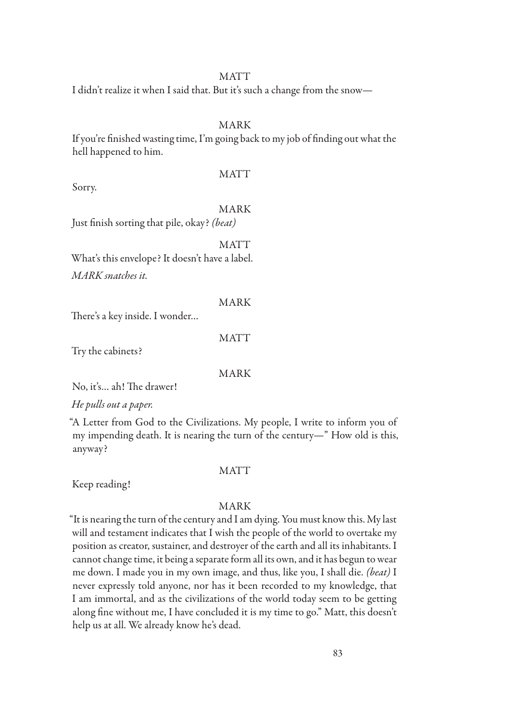#### MATT

I didn't realize it when I said that. But it's such a change from the snow—

#### MARK

If you're finished wasting time, I'm going back to my job of finding out what the hell happened to him.

**MATT** 

Sorry.

#### MARK

Just finish sorting that pile, okay? *(beat)*

MATT What's this envelope? It doesn't have a label. *MARK snatches it.*

MARK

There's a key inside. I wonder…

#### MATT

Try the cabinets?

MARK

No, it's… ah! The drawer!

*He pulls out a paper.*

"A Letter from God to the Civilizations. My people, I write to inform you of my impending death. It is nearing the turn of the century—" How old is this, anyway?

Keep reading!

#### **MATT**

#### MARK

"It is nearing the turn of the century and I am dying. You must know this. My last will and testament indicates that I wish the people of the world to overtake my position as creator, sustainer, and destroyer of the earth and all its inhabitants. I cannot change time, it being a separate form all its own, and it has begun to wear me down. I made you in my own image, and thus, like you, I shall die. *(beat)* I never expressly told anyone, nor has it been recorded to my knowledge, that I am immortal, and as the civilizations of the world today seem to be getting along fine without me, I have concluded it is my time to go." Matt, this doesn't help us at all. We already know he's dead.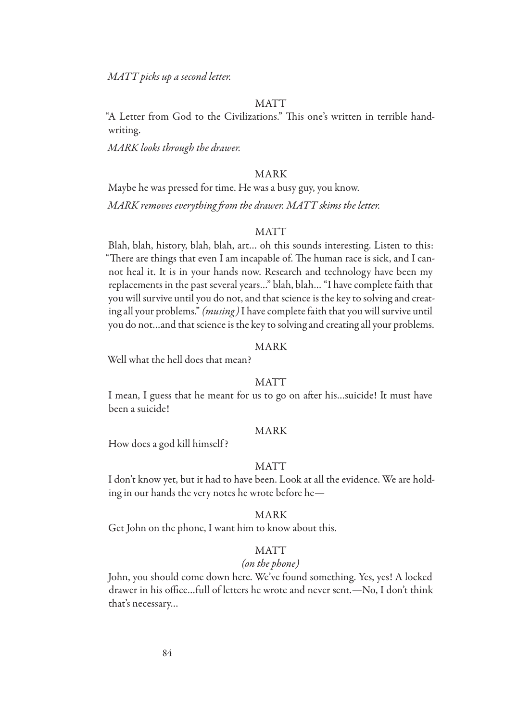*MATT picks up a second letter.*

#### **MATT**

"A Letter from God to the Civilizations." This one's written in terrible handwriting.

*MARK looks through the drawer.*

#### MARK

Maybe he was pressed for time. He was a busy guy, you know.

*MARK removes everything from the drawer. MATT skims the letter.*

#### **MATT**

Blah, blah, history, blah, blah, art… oh this sounds interesting. Listen to this: "There are things that even I am incapable of. The human race is sick, and I cannot heal it. It is in your hands now. Research and technology have been my replacements in the past several years…" blah, blah… "I have complete faith that you will survive until you do not, and that science is the key to solving and creating all your problems." *(musing)* I have complete faith that you will survive until you do not…and that science is the key to solving and creating all your problems.

#### MARK

Well what the hell does that mean?

#### MATT

I mean, I guess that he meant for us to go on after his…suicide! It must have been a suicide!

#### MARK

How does a god kill himself ?

#### **MATT**

I don't know yet, but it had to have been. Look at all the evidence. We are holding in our hands the very notes he wrote before he—

#### MARK

Get John on the phone, I want him to know about this.

#### MATT

#### *(on the phone)*

John, you should come down here. We've found something. Yes, yes! A locked drawer in his office…full of letters he wrote and never sent.—No, I don't think that's necessary…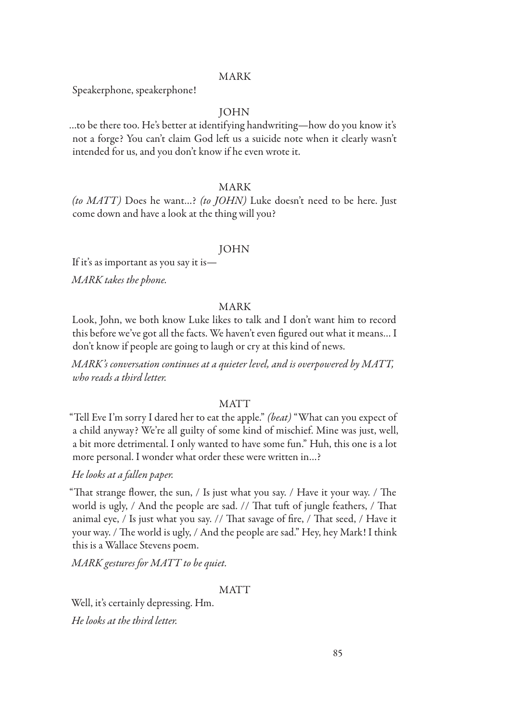#### MARK

Speakerphone, speakerphone!

#### JOHN

…to be there too. He's better at identifying handwriting—how do you know it's not a forge? You can't claim God left us a suicide note when it clearly wasn't intended for us, and you don't know if he even wrote it.

#### MARK

*(to MATT)* Does he want…? *(to JOHN)* Luke doesn't need to be here. Just come down and have a look at the thing will you?

#### JOHN

If it's as important as you say it is—

*MARK takes the phone.*

#### MARK

Look, John, we both know Luke likes to talk and I don't want him to record this before we've got all the facts. We haven't even figured out what it means… I don't know if people are going to laugh or cry at this kind of news.

*MARK's conversation continues at a quieter level, and is overpowered by MATT, who reads a third letter.*

#### **MATT**

"Tell Eve I'm sorry I dared her to eat the apple." *(beat)* "What can you expect of a child anyway? We're all guilty of some kind of mischief. Mine was just, well, a bit more detrimental. I only wanted to have some fun." Huh, this one is a lot more personal. I wonder what order these were written in…?

#### *He looks at a fallen paper.*

"That strange flower, the sun, / Is just what you say. / Have it your way. / The world is ugly, / And the people are sad. // That tuft of jungle feathers, / That animal eye, / Is just what you say. // That savage of fire, / That seed, / Have it your way. / The world is ugly, / And the people are sad." Hey, hey Mark! I think this is a Wallace Stevens poem.

*MARK gestures for MATT to be quiet.*

#### **MATT**

Well, it's certainly depressing. Hm. *He looks at the third letter.*